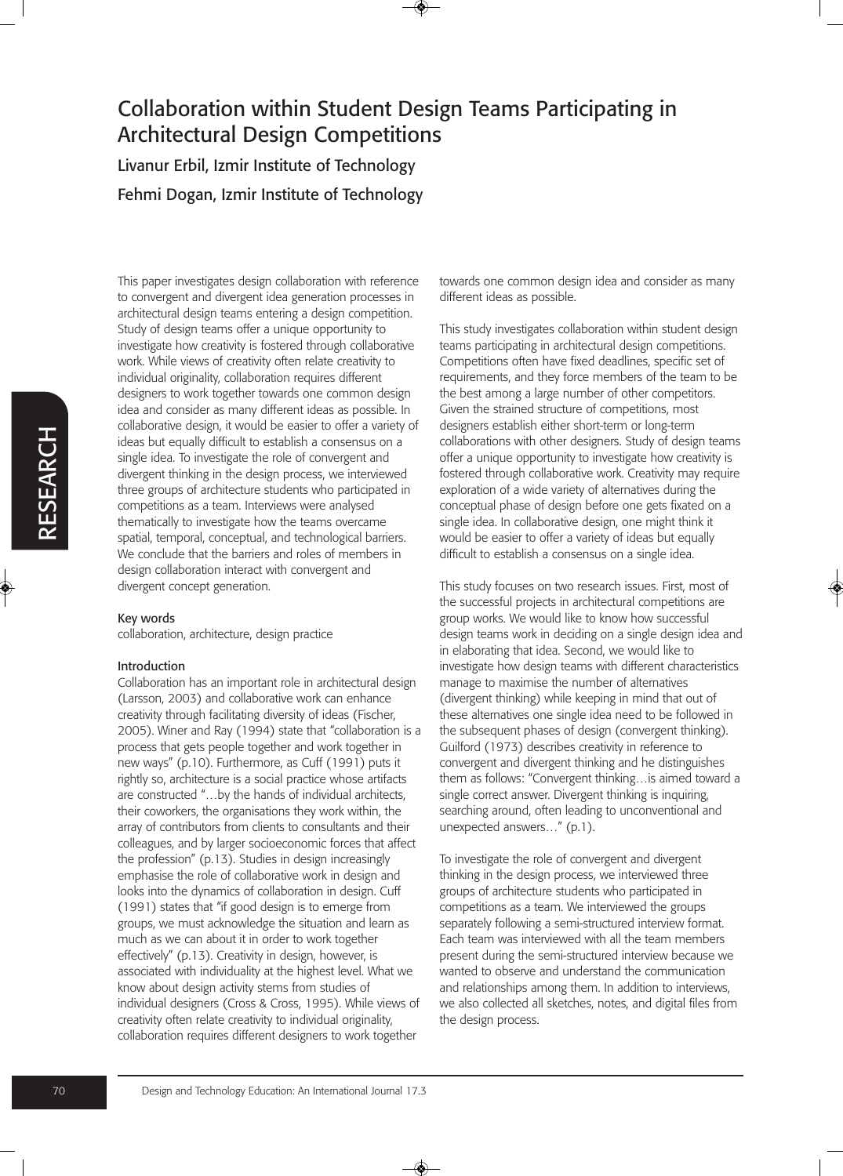Livanur Erbil, Izmir Institute of Technology Fehmi Dogan, Izmir Institute of Technology

This paper investigates design collaboration with reference to convergent and divergent idea generation processes in architectural design teams entering a design competition. Study of design teams offer a unique opportunity to investigate how creativity is fostered through collaborative work. While views of creativity often relate creativity to individual originality, collaboration requires different designers to work together towards one common design idea and consider as many different ideas as possible. In collaborative design, it would be easier to offer a variety of ideas but equally difficult to establish a consensus on a single idea. To investigate the role of convergent and divergent thinking in the design process, we interviewed three groups of architecture students who participated in competitions as a team. Interviews were analysed thematically to investigate how the teams overcame spatial, temporal, conceptual, and technological barriers. We conclude that the barriers and roles of members in design collaboration interact with convergent and divergent concept generation.

#### Key words

collaboration, architecture, design practice

#### Introduction

Collaboration has an important role in architectural design (Larsson, 2003) and collaborative work can enhance creativity through facilitating diversity of ideas (Fischer, 2005). Winer and Ray (1994) state that "collaboration is a process that gets people together and work together in new ways" (p.10). Furthermore, as Cuff (1991) puts it rightly so, architecture is a social practice whose artifacts are constructed "…by the hands of individual architects, their coworkers, the organisations they work within, the array of contributors from clients to consultants and their colleagues, and by larger socioeconomic forces that affect the profession" (p.13). Studies in design increasingly emphasise the role of collaborative work in design and looks into the dynamics of collaboration in design. Cuff (1991) states that "if good design is to emerge from groups, we must acknowledge the situation and learn as much as we can about it in order to work together effectively" (p.13). Creativity in design, however, is associated with individuality at the highest level. What we know about design activity stems from studies of individual designers (Cross & Cross, 1995). While views of creativity often relate creativity to individual originality, collaboration requires different designers to work together

towards one common design idea and consider as many different ideas as possible.

This study investigates collaboration within student design teams participating in architectural design competitions. Competitions often have fixed deadlines, specific set of requirements, and they force members of the team to be the best among a large number of other competitors. Given the strained structure of competitions, most designers establish either short-term or long-term collaborations with other designers. Study of design teams offer a unique opportunity to investigate how creativity is fostered through collaborative work. Creativity may require exploration of a wide variety of alternatives during the conceptual phase of design before one gets fixated on a single idea. In collaborative design, one might think it would be easier to offer a variety of ideas but equally difficult to establish a consensus on a single idea.

This study focuses on two research issues. First, most of the successful projects in architectural competitions are group works. We would like to know how successful design teams work in deciding on a single design idea and in elaborating that idea. Second, we would like to investigate how design teams with different characteristics manage to maximise the number of alternatives (divergent thinking) while keeping in mind that out of these alternatives one single idea need to be followed in the subsequent phases of design (convergent thinking). Guilford (1973) describes creativity in reference to convergent and divergent thinking and he distinguishes them as follows: "Convergent thinking…is aimed toward a single correct answer. Divergent thinking is inquiring, searching around, often leading to unconventional and unexpected answers…" (p.1).

To investigate the role of convergent and divergent thinking in the design process, we interviewed three groups of architecture students who participated in competitions as a team. We interviewed the groups separately following a semi-structured interview format. Each team was interviewed with all the team members present during the semi-structured interview because we wanted to observe and understand the communication and relationships among them. In addition to interviews, we also collected all sketches, notes, and digital files from the design process.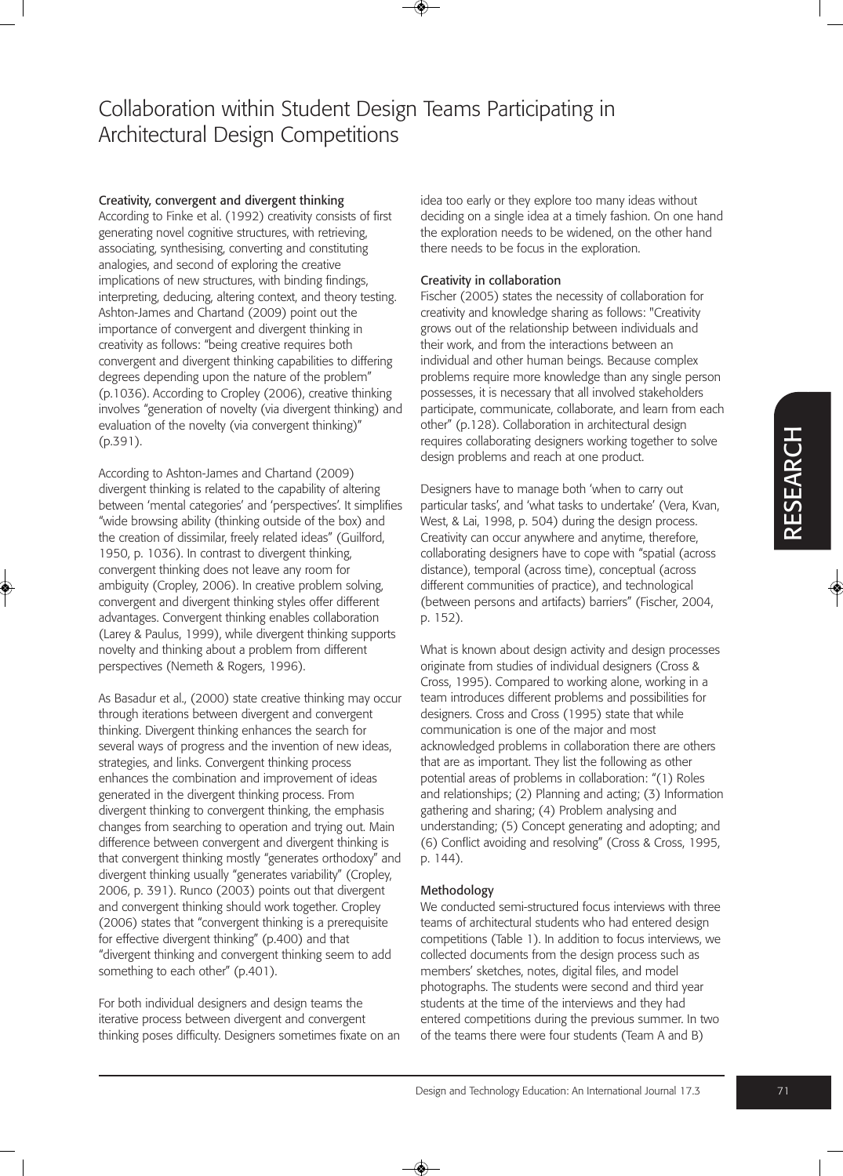### Creativity, convergent and divergent thinking

According to Finke et al. (1992) creativity consists of first generating novel cognitive structures, with retrieving, associating, synthesising, converting and constituting analogies, and second of exploring the creative implications of new structures, with binding findings, interpreting, deducing, altering context, and theory testing. Ashton-James and Chartand (2009) point out the importance of convergent and divergent thinking in creativity as follows: "being creative requires both convergent and divergent thinking capabilities to differing degrees depending upon the nature of the problem" (p.1036). According to Cropley (2006), creative thinking involves "generation of novelty (via divergent thinking) and evaluation of the novelty (via convergent thinking)" (p.391).

According to Ashton-James and Chartand (2009) divergent thinking is related to the capability of altering between 'mental categories' and 'perspectives'. It simplifies "wide browsing ability (thinking outside of the box) and the creation of dissimilar, freely related ideas" (Guilford, 1950, p. 1036). In contrast to divergent thinking, convergent thinking does not leave any room for ambiguity (Cropley, 2006). In creative problem solving, convergent and divergent thinking styles offer different advantages. Convergent thinking enables collaboration (Larey & Paulus, 1999), while divergent thinking supports novelty and thinking about a problem from different perspectives (Nemeth & Rogers, 1996).

As Basadur et al., (2000) state creative thinking may occur through iterations between divergent and convergent thinking. Divergent thinking enhances the search for several ways of progress and the invention of new ideas, strategies, and links. Convergent thinking process enhances the combination and improvement of ideas generated in the divergent thinking process. From divergent thinking to convergent thinking, the emphasis changes from searching to operation and trying out. Main difference between convergent and divergent thinking is that convergent thinking mostly "generates orthodoxy" and divergent thinking usually "generates variability" (Cropley, 2006, p. 391). Runco (2003) points out that divergent and convergent thinking should work together. Cropley (2006) states that "convergent thinking is a prerequisite for effective divergent thinking" (p.400) and that "divergent thinking and convergent thinking seem to add something to each other" (p.401).

For both individual designers and design teams the iterative process between divergent and convergent thinking poses difficulty. Designers sometimes fixate on an idea too early or they explore too many ideas without deciding on a single idea at a timely fashion. On one hand the exploration needs to be widened, on the other hand there needs to be focus in the exploration.

### Creativity in collaboration

Fischer (2005) states the necessity of collaboration for creativity and knowledge sharing as follows: "Creativity grows out of the relationship between individuals and their work, and from the interactions between an individual and other human beings. Because complex problems require more knowledge than any single person possesses, it is necessary that all involved stakeholders participate, communicate, collaborate, and learn from each other" (p.128). Collaboration in architectural design requires collaborating designers working together to solve design problems and reach at one product.

Designers have to manage both 'when to carry out particular tasks', and 'what tasks to undertake' (Vera, Kvan, West, & Lai, 1998, p. 504) during the design process. Creativity can occur anywhere and anytime, therefore, collaborating designers have to cope with "spatial (across distance), temporal (across time), conceptual (across different communities of practice), and technological (between persons and artifacts) barriers" (Fischer, 2004, p. 152).

What is known about design activity and design processes originate from studies of individual designers (Cross & Cross, 1995). Compared to working alone, working in a team introduces different problems and possibilities for designers. Cross and Cross (1995) state that while communication is one of the major and most acknowledged problems in collaboration there are others that are as important. They list the following as other potential areas of problems in collaboration: "(1) Roles and relationships; (2) Planning and acting; (3) Information gathering and sharing; (4) Problem analysing and understanding; (5) Concept generating and adopting; and (6) Conflict avoiding and resolving" (Cross & Cross, 1995, p. 144).

#### Methodology

We conducted semi-structured focus interviews with three teams of architectural students who had entered design competitions (Table 1). In addition to focus interviews, we collected documents from the design process such as members' sketches, notes, digital files, and model photographs. The students were second and third year students at the time of the interviews and they had entered competitions during the previous summer. In two of the teams there were four students (Team A and B)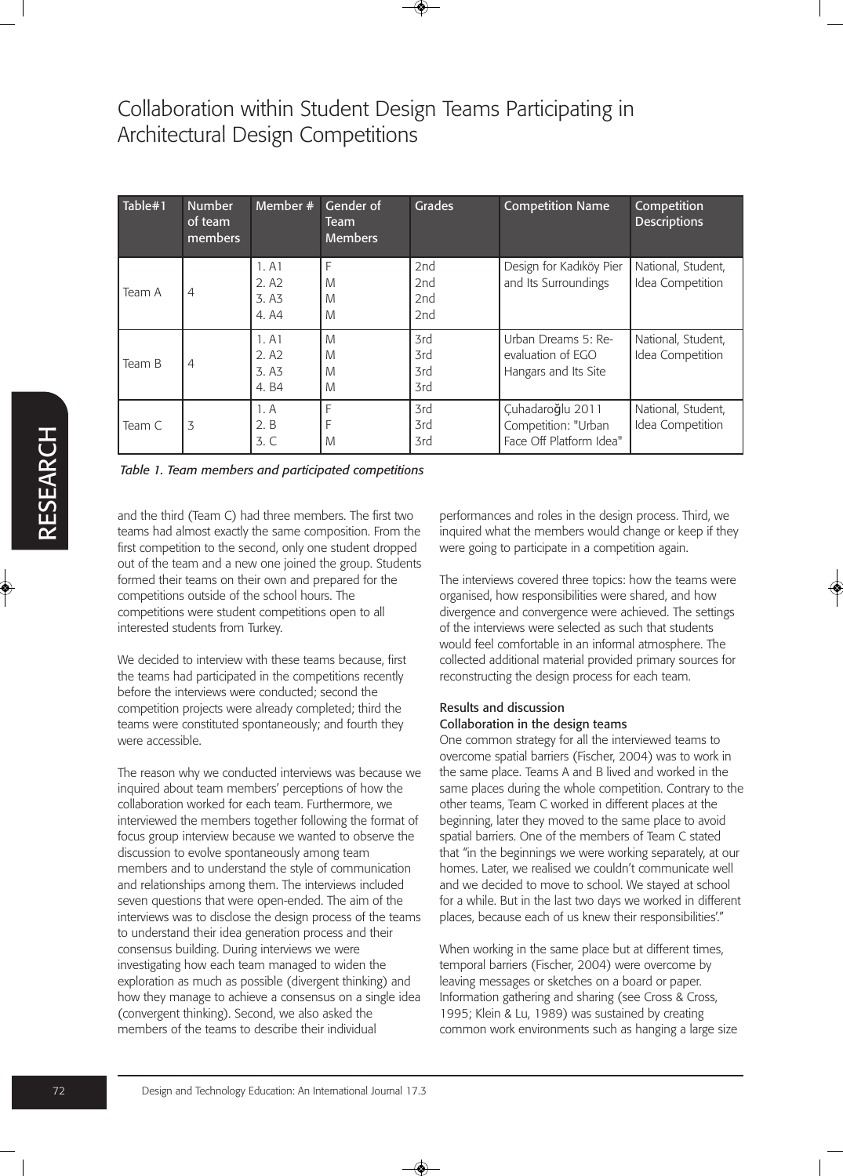| Table#1 | <b>Number</b><br>of team<br>members | Member #                                   | Gender of<br><b>Team</b><br><b>Members</b> | <b>Grades</b>            | <b>Competition Name</b>                                            | Competition<br><b>Descriptions</b>     |
|---------|-------------------------------------|--------------------------------------------|--------------------------------------------|--------------------------|--------------------------------------------------------------------|----------------------------------------|
| Team A  | 4                                   | 1. A1<br>2.A2<br>3.A3<br>4.A4              | F<br>M<br>M<br>M                           | 2nd<br>2nd<br>2nd<br>2nd | Design for Kadıköy Pier<br>and Its Surroundings                    | National, Student,<br>Idea Competition |
| Team B  | 4                                   | 1. A1<br>2.A <sub>2</sub><br>3.A3<br>4. B4 | M<br>M<br>M<br>M                           | 3rd<br>3rd<br>3rd<br>3rd | Urban Dreams 5: Re-<br>evaluation of EGO<br>Hangars and Its Site   | National, Student,<br>Idea Competition |
| Team C  | 3                                   | 1. A<br>2.B<br>3. C                        | F<br>M                                     | 3rd<br>3rd<br>3rd        | Çuhadaroğlu 2011<br>Competition: "Urban<br>Face Off Platform Idea" | National, Student,<br>Idea Competition |

*Table 1. Team members and participated competitions*

and the third (Team C) had three members. The first two teams had almost exactly the same composition. From the first competition to the second, only one student dropped out of the team and a new one joined the group. Students formed their teams on their own and prepared for the competitions outside of the school hours. The competitions were student competitions open to all interested students from Turkey.

We decided to interview with these teams because, first the teams had participated in the competitions recently before the interviews were conducted; second the competition projects were already completed; third the teams were constituted spontaneously; and fourth they were accessible.

The reason why we conducted interviews was because we inquired about team members' perceptions of how the collaboration worked for each team. Furthermore, we interviewed the members together following the format of focus group interview because we wanted to observe the discussion to evolve spontaneously among team members and to understand the style of communication and relationships among them. The interviews included seven questions that were open-ended. The aim of the interviews was to disclose the design process of the teams to understand their idea generation process and their consensus building. During interviews we were investigating how each team managed to widen the exploration as much as possible (divergent thinking) and how they manage to achieve a consensus on a single idea (convergent thinking). Second, we also asked the members of the teams to describe their individual

performances and roles in the design process. Third, we inquired what the members would change or keep if they were going to participate in a competition again.

The interviews covered three topics: how the teams were organised, how responsibilities were shared, and how divergence and convergence were achieved. The settings of the interviews were selected as such that students would feel comfortable in an informal atmosphere. The collected additional material provided primary sources for reconstructing the design process for each team.

#### Results and discussion Collaboration in the design teams

One common strategy for all the interviewed teams to overcome spatial barriers (Fischer, 2004) was to work in the same place. Teams A and B lived and worked in the same places during the whole competition. Contrary to the other teams, Team C worked in different places at the beginning, later they moved to the same place to avoid spatial barriers. One of the members of Team C stated that "in the beginnings we were working separately, at our homes. Later, we realised we couldn't communicate well and we decided to move to school. We stayed at school for a while. But in the last two days we worked in different places, because each of us knew their responsibilities'."

When working in the same place but at different times, temporal barriers (Fischer, 2004) were overcome by leaving messages or sketches on a board or paper. Information gathering and sharing (see Cross & Cross, 1995; Klein & Lu, 1989) was sustained by creating common work environments such as hanging a large size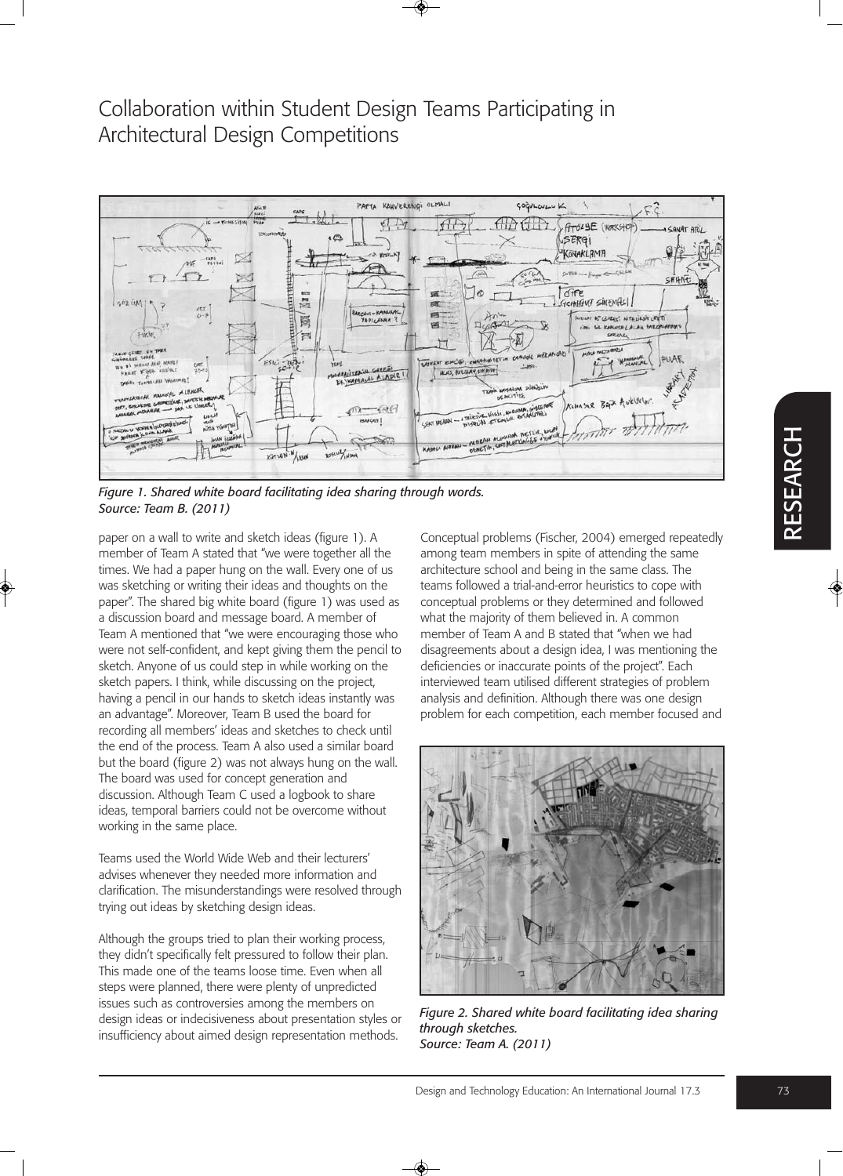

*Figure 1. Shared white board facilitating idea sharing through words. Source: Team B. (2011)* 

paper on a wall to write and sketch ideas (figure 1). A member of Team A stated that "we were together all the times. We had a paper hung on the wall. Every one of us was sketching or writing their ideas and thoughts on the paper". The shared big white board (figure 1) was used as a discussion board and message board. A member of Team A mentioned that "we were encouraging those who were not self-confident, and kept giving them the pencil to sketch. Anyone of us could step in while working on the sketch papers. I think, while discussing on the project, having a pencil in our hands to sketch ideas instantly was an advantage". Moreover, Team B used the board for recording all members' ideas and sketches to check until the end of the process. Team A also used a similar board but the board (figure 2) was not always hung on the wall. The board was used for concept generation and discussion. Although Team C used a logbook to share ideas, temporal barriers could not be overcome without working in the same place.

Teams used the World Wide Web and their lecturers' advises whenever they needed more information and clarification. The misunderstandings were resolved through trying out ideas by sketching design ideas.

Although the groups tried to plan their working process, they didn't specifically felt pressured to follow their plan. This made one of the teams loose time. Even when all steps were planned, there were plenty of unpredicted issues such as controversies among the members on design ideas or indecisiveness about presentation styles or insufficiency about aimed design representation methods.

Conceptual problems (Fischer, 2004) emerged repeatedly among team members in spite of attending the same architecture school and being in the same class. The teams followed a trial-and-error heuristics to cope with conceptual problems or they determined and followed what the majority of them believed in. A common member of Team A and B stated that "when we had disagreements about a design idea, I was mentioning the deficiencies or inaccurate points of the project". Each interviewed team utilised different strategies of problem analysis and definition. Although there was one design problem for each competition, each member focused and



*Figure 2. Shared white board facilitating idea sharing through sketches. Source: Team A. (2011)*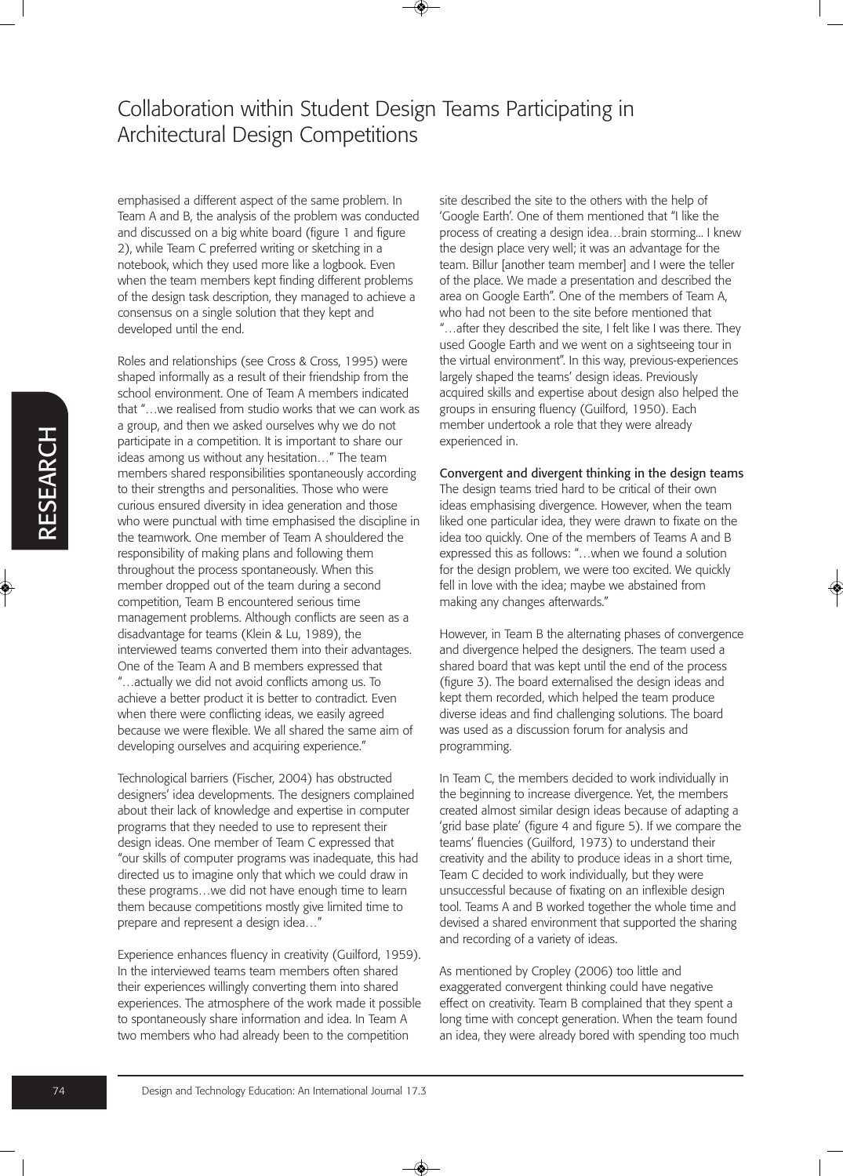emphasised a different aspect of the same problem. In Team A and B, the analysis of the problem was conducted and discussed on a big white board (figure 1 and figure 2), while Team C preferred writing or sketching in a notebook, which they used more like a logbook. Even when the team members kept finding different problems of the design task description, they managed to achieve a consensus on a single solution that they kept and developed until the end.

Roles and relationships (see Cross & Cross, 1995) were shaped informally as a result of their friendship from the school environment. One of Team A members indicated that "…we realised from studio works that we can work as a group, and then we asked ourselves why we do not participate in a competition. It is important to share our ideas among us without any hesitation…" The team members shared responsibilities spontaneously according to their strengths and personalities. Those who were curious ensured diversity in idea generation and those who were punctual with time emphasised the discipline in the teamwork. One member of Team A shouldered the responsibility of making plans and following them throughout the process spontaneously. When this member dropped out of the team during a second competition, Team B encountered serious time management problems. Although conflicts are seen as a disadvantage for teams (Klein & Lu, 1989), the interviewed teams converted them into their advantages. One of the Team A and B members expressed that "…actually we did not avoid conflicts among us. To achieve a better product it is better to contradict. Even when there were conflicting ideas, we easily agreed because we were flexible. We all shared the same aim of developing ourselves and acquiring experience."

Technological barriers (Fischer, 2004) has obstructed designers' idea developments. The designers complained about their lack of knowledge and expertise in computer programs that they needed to use to represent their design ideas. One member of Team C expressed that "our skills of computer programs was inadequate, this had directed us to imagine only that which we could draw in these programs…we did not have enough time to learn them because competitions mostly give limited time to prepare and represent a design idea…"

Experience enhances fluency in creativity (Guilford, 1959). In the interviewed teams team members often shared their experiences willingly converting them into shared experiences. The atmosphere of the work made it possible to spontaneously share information and idea. In Team A two members who had already been to the competition

site described the site to the others with the help of 'Google Earth'. One of them mentioned that "I like the process of creating a design idea…brain storming... I knew the design place very well; it was an advantage for the team. Billur [another team member] and I were the teller of the place. We made a presentation and described the area on Google Earth". One of the members of Team A, who had not been to the site before mentioned that "…after they described the site, I felt like I was there. They used Google Earth and we went on a sightseeing tour in the virtual environment". In this way, previous-experiences largely shaped the teams' design ideas. Previously acquired skills and expertise about design also helped the groups in ensuring fluency (Guilford, 1950). Each member undertook a role that they were already experienced in.

Convergent and divergent thinking in the design teams The design teams tried hard to be critical of their own ideas emphasising divergence. However, when the team liked one particular idea, they were drawn to fixate on the idea too quickly. One of the members of Teams A and B expressed this as follows: "…when we found a solution for the design problem, we were too excited. We quickly fell in love with the idea; maybe we abstained from making any changes afterwards."

However, in Team B the alternating phases of convergence and divergence helped the designers. The team used a shared board that was kept until the end of the process (figure 3). The board externalised the design ideas and kept them recorded, which helped the team produce diverse ideas and find challenging solutions. The board was used as a discussion forum for analysis and programming.

In Team C, the members decided to work individually in the beginning to increase divergence. Yet, the members created almost similar design ideas because of adapting a 'grid base plate' (figure 4 and figure 5). If we compare the teams' fluencies (Guilford, 1973) to understand their creativity and the ability to produce ideas in a short time, Team C decided to work individually, but they were unsuccessful because of fixating on an inflexible design tool. Teams A and B worked together the whole time and devised a shared environment that supported the sharing and recording of a variety of ideas.

As mentioned by Cropley (2006) too little and exaggerated convergent thinking could have negative effect on creativity. Team B complained that they spent a long time with concept generation. When the team found an idea, they were already bored with spending too much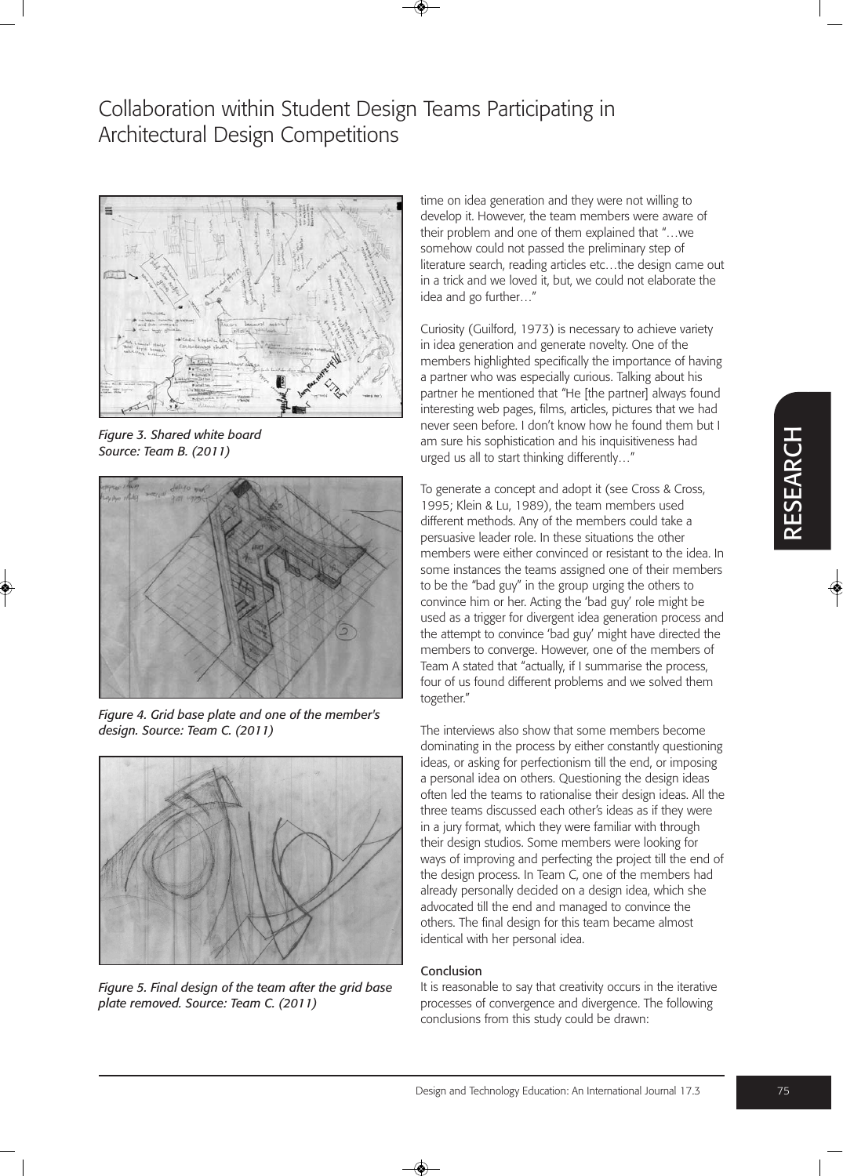

*Figure 3. Shared white board Source: Team B. (2011)* 



*Figure 4. Grid base plate and one of the member's design. Source: Team C. (2011)* 



*Figure 5. Final design of the team after the grid base plate removed. Source: Team C. (2011)* 

time on idea generation and they were not willing to develop it. However, the team members were aware of their problem and one of them explained that "…we somehow could not passed the preliminary step of literature search, reading articles etc…the design came out in a trick and we loved it, but, we could not elaborate the idea and go further…"

Curiosity (Guilford, 1973) is necessary to achieve variety in idea generation and generate novelty. One of the members highlighted specifically the importance of having a partner who was especially curious. Talking about his partner he mentioned that "He [the partner] always found interesting web pages, films, articles, pictures that we had never seen before. I don't know how he found them but I am sure his sophistication and his inquisitiveness had urged us all to start thinking differently…"

To generate a concept and adopt it (see Cross & Cross, 1995; Klein & Lu, 1989), the team members used different methods. Any of the members could take a persuasive leader role. In these situations the other members were either convinced or resistant to the idea. In some instances the teams assigned one of their members to be the "bad guy" in the group urging the others to convince him or her. Acting the 'bad guy' role might be used as a trigger for divergent idea generation process and the attempt to convince 'bad guy' might have directed the members to converge. However, one of the members of Team A stated that "actually, if I summarise the process, four of us found different problems and we solved them together."

The interviews also show that some members become dominating in the process by either constantly questioning ideas, or asking for perfectionism till the end, or imposing a personal idea on others. Questioning the design ideas often led the teams to rationalise their design ideas. All the three teams discussed each other's ideas as if they were in a jury format, which they were familiar with through their design studios. Some members were looking for ways of improving and perfecting the project till the end of the design process. In Team C, one of the members had already personally decided on a design idea, which she advocated till the end and managed to convince the others. The final design for this team became almost identical with her personal idea.

#### Conclusion

It is reasonable to say that creativity occurs in the iterative processes of convergence and divergence. The following conclusions from this study could be drawn: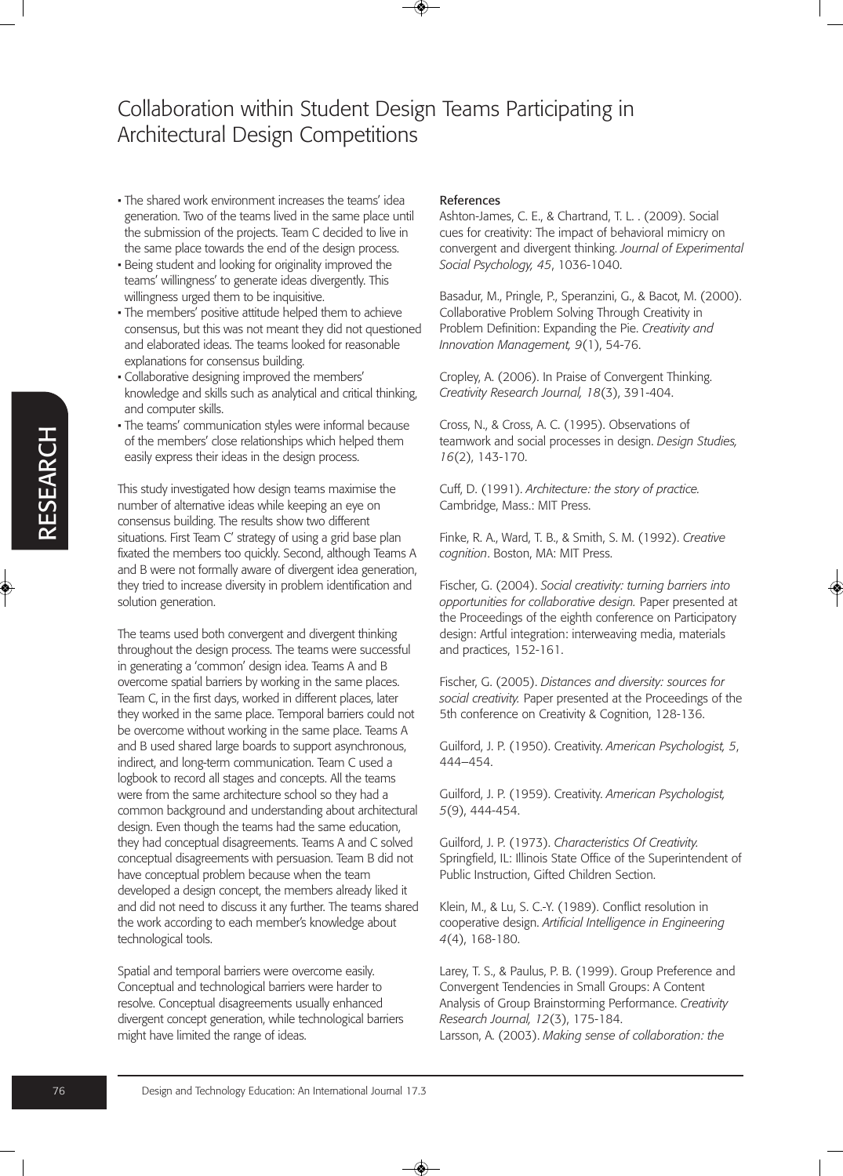- The shared work environment increases the teams' idea generation. Two of the teams lived in the same place until the submission of the projects. Team C decided to live in the same place towards the end of the design process.
- Being student and looking for originality improved the teams' willingness' to generate ideas divergently. This willingness urged them to be inquisitive.
- The members' positive attitude helped them to achieve consensus, but this was not meant they did not questioned and elaborated ideas. The teams looked for reasonable explanations for consensus building.
- Collaborative designing improved the members' knowledge and skills such as analytical and critical thinking, and computer skills.
- The teams' communication styles were informal because of the members' close relationships which helped them easily express their ideas in the design process.

This study investigated how design teams maximise the number of alternative ideas while keeping an eye on consensus building. The results show two different situations. First Team C' strategy of using a grid base plan fixated the members too quickly. Second, although Teams A and B were not formally aware of divergent idea generation, they tried to increase diversity in problem identification and solution generation.

The teams used both convergent and divergent thinking throughout the design process. The teams were successful in generating a 'common' design idea. Teams A and B overcome spatial barriers by working in the same places. Team C, in the first days, worked in different places, later they worked in the same place. Temporal barriers could not be overcome without working in the same place. Teams A and B used shared large boards to support asynchronous, indirect, and long-term communication. Team C used a logbook to record all stages and concepts. All the teams were from the same architecture school so they had a common background and understanding about architectural design. Even though the teams had the same education, they had conceptual disagreements. Teams A and C solved conceptual disagreements with persuasion. Team B did not have conceptual problem because when the team developed a design concept, the members already liked it and did not need to discuss it any further. The teams shared the work according to each member's knowledge about technological tools.

Spatial and temporal barriers were overcome easily. Conceptual and technological barriers were harder to resolve. Conceptual disagreements usually enhanced divergent concept generation, while technological barriers might have limited the range of ideas.

### References

Ashton-James, C. E., & Chartrand, T. L. . (2009). Social cues for creativity: The impact of behavioral mimicry on convergent and divergent thinking. *Journal of Experimental Social Psychology, 45*, 1036-1040.

Basadur, M., Pringle, P., Speranzini, G., & Bacot, M. (2000). Collaborative Problem Solving Through Creativity in Problem Definition: Expanding the Pie. *Creativity and Innovation Management, 9*(1), 54-76.

Cropley, A. (2006). In Praise of Convergent Thinking. *Creativity Research Journal, 18*(3), 391-404.

Cross, N., & Cross, A. C. (1995). Observations of teamwork and social processes in design. *Design Studies, 16*(2), 143-170.

Cuff, D. (1991). *Architecture: the story of practice.* Cambridge, Mass.: MIT Press.

Finke, R. A., Ward, T. B., & Smith, S. M. (1992). *Creative cognition*. Boston, MA: MIT Press.

Fischer, G. (2004). *Social creativity: turning barriers into opportunities for collaborative design.* Paper presented at the Proceedings of the eighth conference on Participatory design: Artful integration: interweaving media, materials and practices, 152-161.

Fischer, G. (2005). *Distances and diversity: sources for social creativity.* Paper presented at the Proceedings of the 5th conference on Creativity & Cognition, 128-136.

Guilford, J. P. (1950). Creativity. *American Psychologist, 5*, 444–454.

Guilford, J. P. (1959). Creativity. *American Psychologist, 5*(9), 444-454.

Guilford, J. P. (1973). *Characteristics Of Creativity.* Springfield, IL: Illinois State Office of the Superintendent of Public Instruction, Gifted Children Section.

Klein, M., & Lu, S. C.-Y. (1989). Conflict resolution in cooperative design. *Artificial Intelligence in Engineering 4*(4), 168-180.

Larey, T. S., & Paulus, P. B. (1999). Group Preference and Convergent Tendencies in Small Groups: A Content Analysis of Group Brainstorming Performance. *Creativity Research Journal, 12*(3), 175-184. Larsson, A. (2003). *Making sense of collaboration: the*